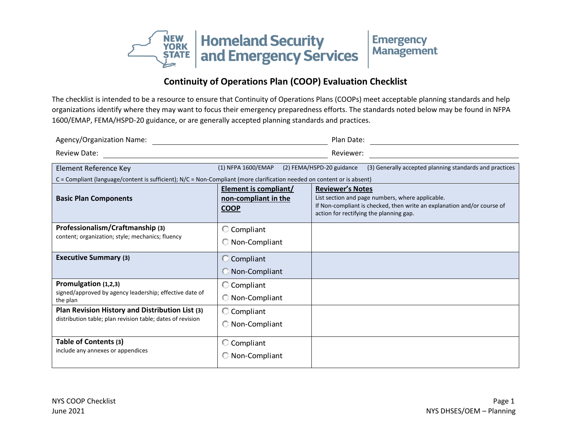

## **Continuity of Operations Plan (COOP) Evaluation Checklist**

The checklist is intended to be a resource to ensure that Continuity of Operations Plans (COOPs) meet acceptable planning standards and help organizations identify where they may want to focus their emergency preparedness efforts. The standards noted below may be found in NFPA 1600/EMAP, FEMA/HSPD-20 guidance, or are generally accepted planning standards and practices.

| Agency/Organization Name:                                                                                               |                                                                     | Plan Date:                                                                                                                                                                                        |
|-------------------------------------------------------------------------------------------------------------------------|---------------------------------------------------------------------|---------------------------------------------------------------------------------------------------------------------------------------------------------------------------------------------------|
| <b>Review Date:</b>                                                                                                     |                                                                     | Reviewer:                                                                                                                                                                                         |
| Element Reference Key                                                                                                   | (1) NFPA 1600/EMAP                                                  | (2) FEMA/HSPD-20 guidance<br>(3) Generally accepted planning standards and practices                                                                                                              |
| C = Compliant (language/content is sufficient); N/C = Non-Compliant (more clarification needed on content or is absent) |                                                                     |                                                                                                                                                                                                   |
| <b>Basic Plan Components</b>                                                                                            | <b>Element is compliant/</b><br>non-compliant in the<br><b>COOP</b> | <b>Reviewer's Notes</b><br>List section and page numbers, where applicable.<br>If Non-compliant is checked, then write an explanation and/or course of<br>action for rectifying the planning gap. |
| Professionalism/Craftmanship (3)<br>content; organization; style; mechanics; fluency                                    | C Compliant<br>Non-Compliant                                        |                                                                                                                                                                                                   |
| <b>Executive Summary (3)</b>                                                                                            | C Compliant<br>Non-Compliant                                        |                                                                                                                                                                                                   |
| Promulgation (1,2,3)<br>signed/approved by agency leadership; effective date of<br>the plan                             | C Compliant<br>Non-Compliant                                        |                                                                                                                                                                                                   |
| Plan Revision History and Distribution List (3)<br>distribution table; plan revision table; dates of revision           | C Compliant<br>C Non-Compliant                                      |                                                                                                                                                                                                   |
| Table of Contents (3)<br>include any annexes or appendices                                                              | $\mathbb G$ Compliant<br>C Non-Compliant                            |                                                                                                                                                                                                   |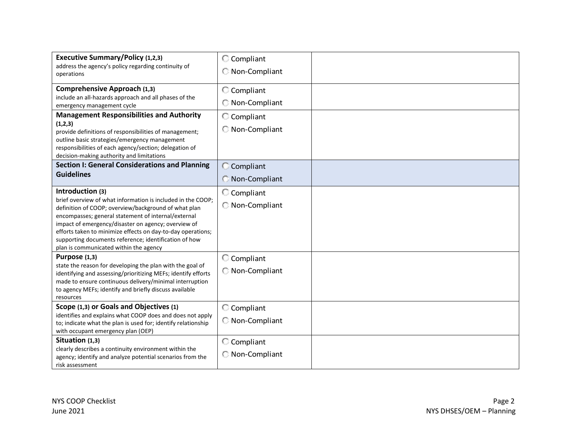| <b>Executive Summary/Policy (1,2,3)</b><br>address the agency's policy regarding continuity of<br>operations                                                                                                                                                                                                                                                                                                            | C Compliant<br>Non-Compliant |  |
|-------------------------------------------------------------------------------------------------------------------------------------------------------------------------------------------------------------------------------------------------------------------------------------------------------------------------------------------------------------------------------------------------------------------------|------------------------------|--|
| Comprehensive Approach (1,3)<br>include an all-hazards approach and all phases of the<br>emergency management cycle                                                                                                                                                                                                                                                                                                     | C Compliant<br>Non-Compliant |  |
| <b>Management Responsibilities and Authority</b><br>(1,2,3)<br>provide definitions of responsibilities of management;<br>outline basic strategies/emergency management<br>responsibilities of each agency/section; delegation of<br>decision-making authority and limitations                                                                                                                                           | C Compliant<br>Non-Compliant |  |
| <b>Section I: General Considerations and Planning</b><br><b>Guidelines</b>                                                                                                                                                                                                                                                                                                                                              | C Compliant<br>Non-Compliant |  |
| Introduction (3)<br>brief overview of what information is included in the COOP;<br>definition of COOP; overview/background of what plan<br>encompasses; general statement of internal/external<br>impact of emergency/disaster on agency; overview of<br>efforts taken to minimize effects on day-to-day operations;<br>supporting documents reference; identification of how<br>plan is communicated within the agency | C Compliant<br>Non-Compliant |  |
| Purpose (1,3)<br>state the reason for developing the plan with the goal of<br>identifying and assessing/prioritizing MEFs; identify efforts<br>made to ensure continuous delivery/minimal interruption<br>to agency MEFs; identify and briefly discuss available<br>resources                                                                                                                                           | C Compliant<br>Non-Compliant |  |
| Scope (1,3) or Goals and Objectives (1)<br>identifies and explains what COOP does and does not apply<br>to; indicate what the plan is used for; identify relationship<br>with occupant emergency plan (OEP)                                                                                                                                                                                                             | C Compliant<br>Non-Compliant |  |
| Situation (1,3)<br>clearly describes a continuity environment within the<br>agency; identify and analyze potential scenarios from the<br>risk assessment                                                                                                                                                                                                                                                                | C Compliant<br>Non-Compliant |  |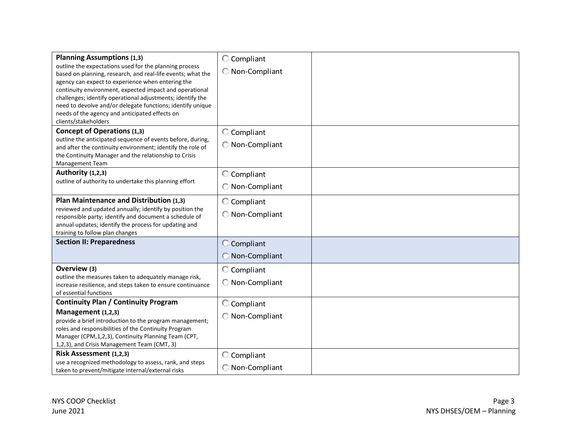| <b>Planning Assumptions (1,3)</b><br>outline the expectations used for the planning process<br>based on planning, research, and real-life events; what the<br>agency can expect to experience when entering the<br>continuity environment, expected impact and operational<br>challenges; identify operational adjustments; identify the<br>need to devolve and/or delegate functions; identify unique<br>needs of the agency and anticipated effects on<br>clients/stakeholders | C Compliant<br>Non-Compliant   |
|----------------------------------------------------------------------------------------------------------------------------------------------------------------------------------------------------------------------------------------------------------------------------------------------------------------------------------------------------------------------------------------------------------------------------------------------------------------------------------|--------------------------------|
| <b>Concept of Operations (1,3)</b><br>outline the anticipated sequence of events before, during,<br>and after the continuity environment; identify the role of<br>the Continuity Manager and the relationship to Crisis<br><b>Management Team</b>                                                                                                                                                                                                                                | C Compliant<br>C Non-Compliant |
| Authority (1,2,3)<br>outline of authority to undertake this planning effort                                                                                                                                                                                                                                                                                                                                                                                                      | C Compliant<br>Non-Compliant   |
| Plan Maintenance and Distribution (1,3)<br>reviewed and updated annually; identify by position the<br>responsible party; identify and document a schedule of<br>annual updates; identify the process for updating and<br>training to follow plan changes                                                                                                                                                                                                                         | C Compliant<br>Non-Compliant   |
| <b>Section II: Preparedness</b>                                                                                                                                                                                                                                                                                                                                                                                                                                                  | C Compliant<br>Non-Compliant   |
| Overview (3)<br>outline the measures taken to adequately manage risk,<br>increase resilience, and steps taken to ensure continuance<br>of essential functions                                                                                                                                                                                                                                                                                                                    | C Compliant<br>Non-Compliant   |
| <b>Continuity Plan / Continuity Program</b><br>Management (1,2,3)<br>provide a brief introduction to the program management;<br>roles and responsibilities of the Continuity Program<br>Manager (CPM, 1, 2, 3), Continuity Planning Team (CPT,<br>1,2,3), and Crisis Management Team (CMT, 3)                                                                                                                                                                                    | C Compliant<br>Non-Compliant   |
| Risk Assessment (1,2,3)<br>use a recognized methodology to assess, rank, and steps<br>taken to prevent/mitigate internal/external risks                                                                                                                                                                                                                                                                                                                                          | C Compliant<br>Non-Compliant   |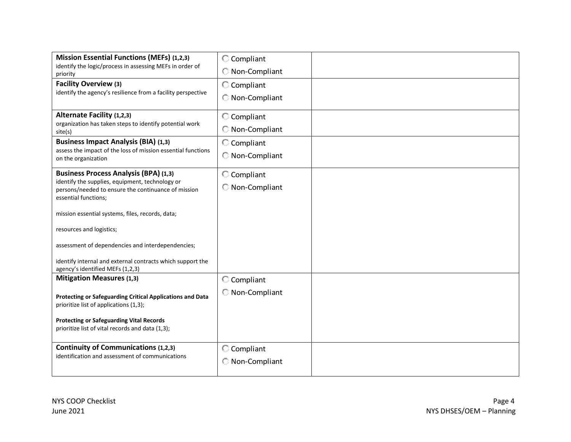| <b>Mission Essential Functions (MEFs) (1,2,3)</b>                                                      | C Compliant   |  |
|--------------------------------------------------------------------------------------------------------|---------------|--|
| identify the logic/process in assessing MEFs in order of<br>priority                                   | Non-Compliant |  |
| <b>Facility Overview (3)</b>                                                                           | C Compliant   |  |
| identify the agency's resilience from a facility perspective                                           | Non-Compliant |  |
| Alternate Facility (1,2,3)                                                                             | C Compliant   |  |
| organization has taken steps to identify potential work<br>site(s)                                     | Non-Compliant |  |
| <b>Business Impact Analysis (BIA) (1,3)</b>                                                            | C Compliant   |  |
| assess the impact of the loss of mission essential functions<br>on the organization                    | Non-Compliant |  |
| <b>Business Process Analysis (BPA) (1,3)</b>                                                           | C Compliant   |  |
| identify the supplies, equipment, technology or<br>persons/needed to ensure the continuance of mission | Non-Compliant |  |
| essential functions;                                                                                   |               |  |
| mission essential systems, files, records, data;                                                       |               |  |
| resources and logistics;                                                                               |               |  |
| assessment of dependencies and interdependencies;                                                      |               |  |
| identify internal and external contracts which support the                                             |               |  |
| agency's identified MEFs (1,2,3)<br><b>Mitigation Measures (1,3)</b>                                   | C Compliant   |  |
|                                                                                                        | Non-Compliant |  |
| Protecting or Safeguarding Critical Applications and Data<br>prioritize list of applications (1,3);    |               |  |
| <b>Protecting or Safeguarding Vital Records</b>                                                        |               |  |
| prioritize list of vital records and data (1,3);                                                       |               |  |
| <b>Continuity of Communications (1,2,3)</b>                                                            | C Compliant   |  |
| identification and assessment of communications                                                        | Non-Compliant |  |
|                                                                                                        |               |  |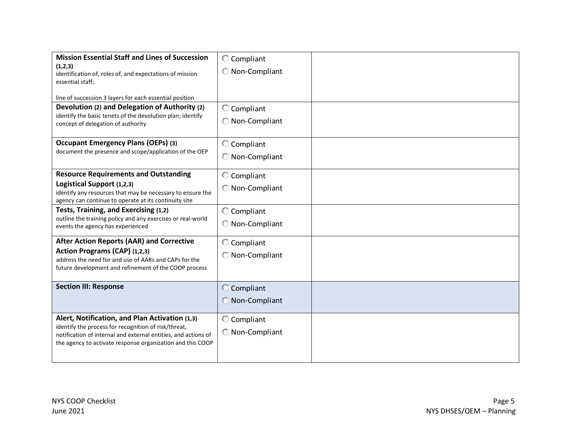| <b>Mission Essential Staff and Lines of Succession</b><br>(1,2,3)<br>identification of, roles of, and expectations of mission<br>essential staff;<br>line of succession 3 layers for each essential position<br>Devolution (2) and Delegation of Authority (2)<br>identify the basic tenets of the devolution plan; identify<br>concept of delegation of authority | C Compliant<br>C Non-Compliant<br>C Compliant<br>Non-Compliant |  |
|--------------------------------------------------------------------------------------------------------------------------------------------------------------------------------------------------------------------------------------------------------------------------------------------------------------------------------------------------------------------|----------------------------------------------------------------|--|
| <b>Occupant Emergency Plans (OEPs) (3)</b><br>document the presence and scope/application of the OEP                                                                                                                                                                                                                                                               | C Compliant<br>Non-Compliant                                   |  |
| <b>Resource Requirements and Outstanding</b><br>Logistical Support (1,2,3)<br>identify any resources that may be necessary to ensure the<br>agency can continue to operate at its continuity site                                                                                                                                                                  | C Compliant<br>Non-Compliant                                   |  |
| Tests, Training, and Exercising (1,2)<br>outline the training policy and any exercises or real-world<br>events the agency has experienced                                                                                                                                                                                                                          | C Compliant<br>Non-Compliant                                   |  |
| <b>After Action Reports (AAR) and Corrective</b><br>Action Programs (CAP) (1,2,3)<br>address the need for and use of AARs and CAPs for the<br>future development and refinement of the COOP process                                                                                                                                                                | C Compliant<br>C Non-Compliant                                 |  |
| <b>Section III: Response</b>                                                                                                                                                                                                                                                                                                                                       | C Compliant<br><b>Non-Compliant</b>                            |  |
| Alert, Notification, and Plan Activation (1,3)<br>identify the process for recognition of risk/threat,<br>notification of internal and external entities, and actions of<br>the agency to activate response organization and this COOP                                                                                                                             | C Compliant<br>C Non-Compliant                                 |  |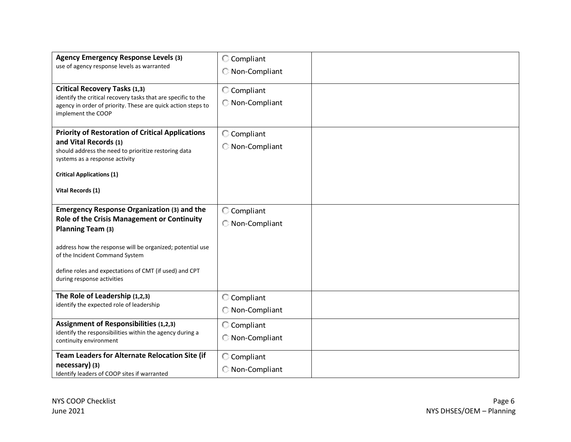| <b>Agency Emergency Response Levels (3)</b><br>use of agency response levels as warranted                                                                                                                                                                                                                     | C Compliant<br>Non-Compliant   |  |
|---------------------------------------------------------------------------------------------------------------------------------------------------------------------------------------------------------------------------------------------------------------------------------------------------------------|--------------------------------|--|
| <b>Critical Recovery Tasks (1,3)</b><br>identify the critical recovery tasks that are specific to the<br>agency in order of priority. These are quick action steps to<br>implement the COOP                                                                                                                   | C Compliant<br>C Non-Compliant |  |
| <b>Priority of Restoration of Critical Applications</b><br>and Vital Records (1)<br>should address the need to prioritize restoring data<br>systems as a response activity<br><b>Critical Applications (1)</b><br>Vital Records (1)                                                                           | C Compliant<br>Non-Compliant   |  |
| <b>Emergency Response Organization (3) and the</b><br>Role of the Crisis Management or Continuity<br>Planning Team (3)<br>address how the response will be organized; potential use<br>of the Incident Command System<br>define roles and expectations of CMT (if used) and CPT<br>during response activities | C Compliant<br>Non-Compliant   |  |
| The Role of Leadership (1,2,3)<br>identify the expected role of leadership                                                                                                                                                                                                                                    | C Compliant<br>Non-Compliant   |  |
| <b>Assignment of Responsibilities (1,2,3)</b><br>identify the responsibilities within the agency during a<br>continuity environment                                                                                                                                                                           | C Compliant<br>Non-Compliant   |  |
| Team Leaders for Alternate Relocation Site (if<br>necessary) (3)<br>Identify leaders of COOP sites if warranted                                                                                                                                                                                               | C Compliant<br>C Non-Compliant |  |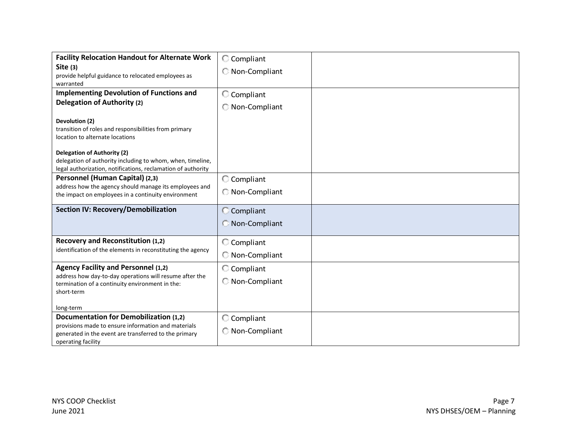| <b>Facility Relocation Handout for Alternate Work</b>                                                                                                            | C Compliant                  |  |
|------------------------------------------------------------------------------------------------------------------------------------------------------------------|------------------------------|--|
| Site $(3)$<br>provide helpful guidance to relocated employees as<br>warranted                                                                                    | C Non-Compliant              |  |
| <b>Implementing Devolution of Functions and</b>                                                                                                                  | C Compliant                  |  |
| <b>Delegation of Authority (2)</b>                                                                                                                               | Non-Compliant                |  |
| Devolution (2)<br>transition of roles and responsibilities from primary<br>location to alternate locations                                                       |                              |  |
| <b>Delegation of Authority (2)</b><br>delegation of authority including to whom, when, timeline,<br>legal authorization, notifications, reclamation of authority |                              |  |
| Personnel (Human Capital) (2,3)<br>address how the agency should manage its employees and<br>the impact on employees in a continuity environment                 | C Compliant<br>Non-Compliant |  |
| <b>Section IV: Recovery/Demobilization</b>                                                                                                                       | C Compliant<br>Non-Compliant |  |
| Recovery and Reconstitution (1,2)                                                                                                                                | C Compliant                  |  |
| identification of the elements in reconstituting the agency                                                                                                      | Non-Compliant                |  |
| <b>Agency Facility and Personnel (1,2)</b>                                                                                                                       | C Compliant                  |  |
| address how day-to-day operations will resume after the<br>termination of a continuity environment in the:<br>short-term                                         | Non-Compliant                |  |
| long-term                                                                                                                                                        |                              |  |
| <b>Documentation for Demobilization (1,2)</b>                                                                                                                    | C Compliant                  |  |
| provisions made to ensure information and materials<br>generated in the event are transferred to the primary<br>operating facility                               | Non-Compliant                |  |